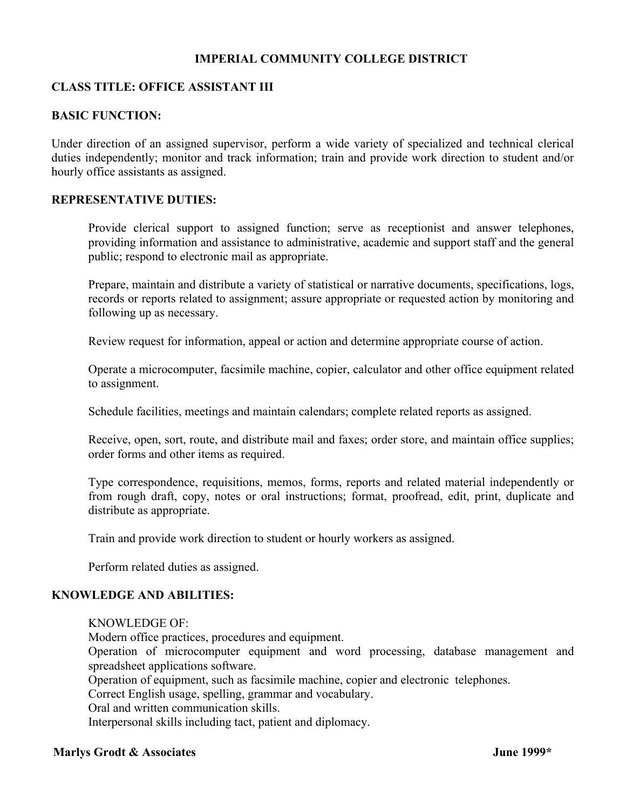## **IMPERIAL COMMUNITY COLLEGE DISTRICT**

# **CLASS TITLE: OFFICE ASSISTANT III**

## **BASIC FUNCTION:**

Under direction of an assigned supervisor, perform a wide variety of specialized and technical clerical duties independently; monitor and track information; train and provide work direction to student and/or hourly office assistants as assigned.

### **REPRESENTATIVE DUTIES:**

Provide clerical support to assigned function; serve as receptionist and answer telephones, providing information and assistance to administrative, academic and support staff and the general public; respond to electronic mail as appropriate.

Prepare, maintain and distribute a variety of statistical or narrative documents, specifications, logs, records or reports related to assignment; assure appropriate or requested action by monitoring and following up as necessary.

Review request for information, appeal or action and determine appropriate course of action.

Operate a microcomputer, facsimile machine, copier, calculator and other office equipment related to assignment.

Schedule facilities, meetings and maintain calendars; complete related reports as assigned.

Receive, open, sort, route, and distribute mail and faxes; order store, and maintain office supplies; order forms and other items as required.

Type correspondence, requisitions, memos, forms, reports and related material independently or from rough draft, copy, notes or oral instructions; format, proofread, edit, print, duplicate and distribute as appropriate.

Train and provide work direction to student or hourly workers as assigned.

Perform related duties as assigned.

#### **KNOWLEDGE AND ABILITIES:**

KNOWLEDGE OF: Modern office practices, procedures and equipment. Operation of microcomputer equipment and word processing, database management and spreadsheet applications software. Operation of equipment, such as facsimile machine, copier and electronic telephones. Correct English usage, spelling, grammar and vocabulary. Oral and written communication skills. Interpersonal skills including tact, patient and diplomacy.

## **Marlys Grodt & Associates**  June 1999\*